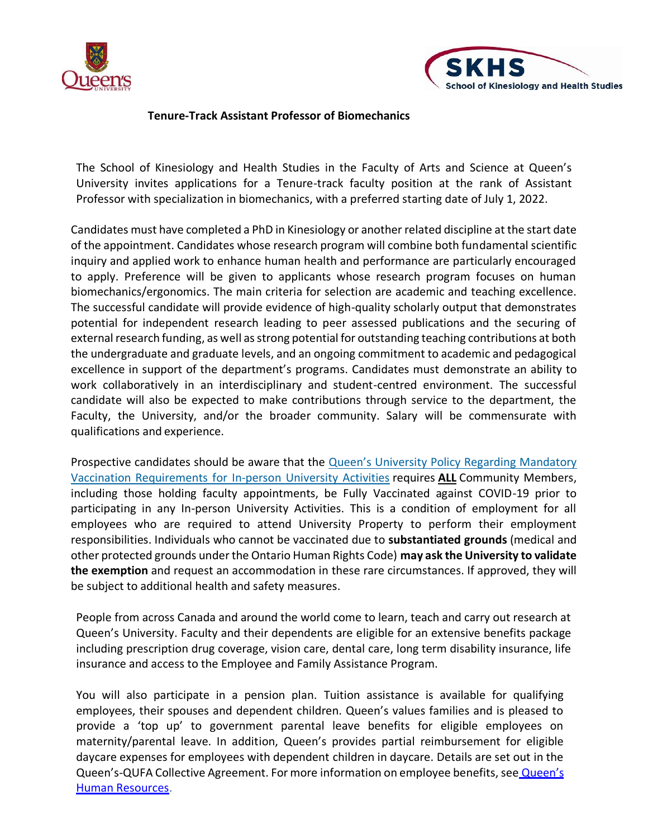



## **Tenure-Track Assistant Professor of Biomechanics**

The School of Kinesiology and Health Studies in the Faculty of Arts and Science at Queen's University invites applications for a Tenure-track faculty position at the rank of Assistant Professor with specialization in biomechanics, with a preferred starting date of July 1, 2022.

Candidates must have completed a PhD in Kinesiology or another related discipline at the start date of the appointment. Candidates whose research program will combine both fundamental scientific inquiry and applied work to enhance human health and performance are particularly encouraged to apply. Preference will be given to applicants whose research program focuses on human biomechanics/ergonomics. The main criteria for selection are academic and teaching excellence. The successful candidate will provide evidence of high-quality scholarly output that demonstrates potential for independent research leading to peer assessed publications and the securing of external research funding, as well as strong potential for outstanding teaching contributions at both the undergraduate and graduate levels, and an ongoing commitment to academic and pedagogical excellence in support of the department's programs. Candidates must demonstrate an ability to work collaboratively in an interdisciplinary and student-centred environment. The successful candidate will also be expected to make contributions through service to the department, the Faculty, the University, and/or the broader community. Salary will be commensurate with qualifications and experience.

Prospective candidates should be aware that the Queen's University Policy Regarding [Mandatory](https://www.queensu.ca/secretariat/policies/administration-and-operations/covid-19-vaccination-requirements) Vaccination [Requirements](https://www.queensu.ca/secretariat/policies/administration-and-operations/covid-19-vaccination-requirements) for In-person University Activities requires **ALL** Community Members, including those holding faculty appointments, be Fully Vaccinated against COVID-19 prior to participating in any In-person University Activities. This is a condition of employment for all employees who are required to attend University Property to perform their employment responsibilities. Individuals who cannot be vaccinated due to **substantiated grounds** (medical and other protected grounds under the Ontario Human Rights Code) **may ask the University to validate the exemption** and request an accommodation in these rare circumstances. If approved, they will be subject to additional health and safety measures.

People from across Canada and around the world come to learn, teach and carry out research at Queen's University. Faculty and their dependents are eligible for an extensive benefits package including prescription drug coverage, vision care, dental care, long term disability insurance, life insurance and access to the Employee and Family Assistance Program.

You will also participate in a pension plan. Tuition assistance is available for qualifying employees, their spouses and dependent children. Queen's values families and is pleased to provide a 'top up' to government parental leave benefits for eligible employees on maternity/parental leave. In addition, Queen's provides partial reimbursement for eligible daycare expenses for employees with dependent children in daycare. Details are set out in the Queen's-QUFA Collective Agreement. For more information on employee benefits, see Queen's [Human Resources.](http://www.queensu.ca/humanresources/)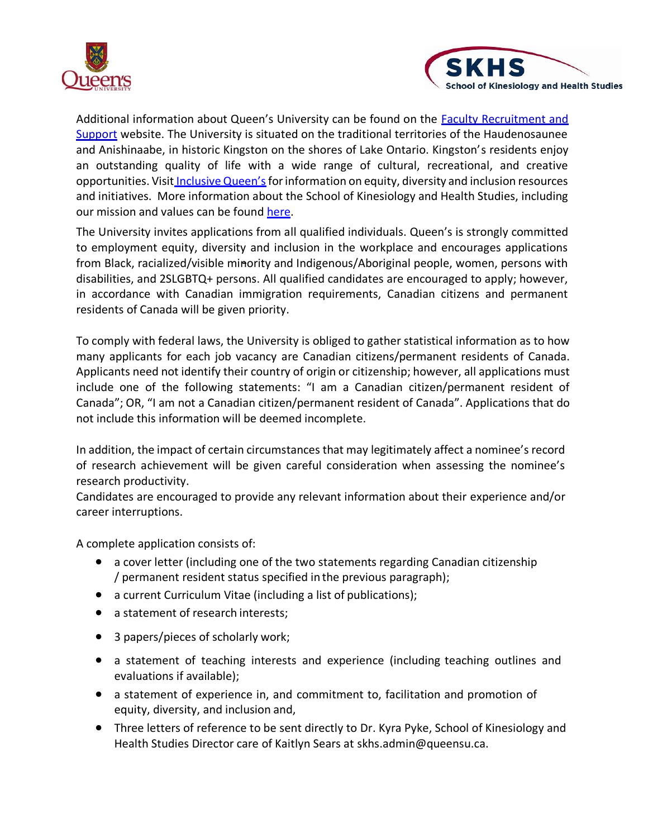



Additional information about Queen's University can be found on the [Faculty Recruitment and](http://www.queensu.ca/facultyrecruitment)  [Support](http://www.queensu.ca/facultyrecruitment) website. The University is situated on the traditional territories of the Haudenosaunee and Anishinaabe, in historic Kingston on the shores of Lake Ontario. Kingston's residents enjoy an outstanding quality of life with a wide range of cultural, recreational, and creative opportunities. Visit *[Inclusive Queen's](https://www.queensu.ca/inclusive/)* for information on equity, diversity and inclusion resources and initiatives. More information about the School of Kinesiology and Health Studies, including our mission and values can be found [here.](https://skhs.queensu.ca/about-us-2/)

The University invites applications from all qualified individuals. Queen's is strongly committed to employment equity, diversity and inclusion in the workplace and encourages applications from Black, racialized/visible minority and Indigenous/Aboriginal people, women, persons with disabilities, and 2SLGBTQ+ persons. All qualified candidates are encouraged to apply; however, in accordance with Canadian immigration requirements, Canadian citizens and permanent residents of Canada will be given priority.

To comply with federal laws, the University is obliged to gather statistical information as to how many applicants for each job vacancy are Canadian citizens/permanent residents of Canada. Applicants need not identify their country of origin or citizenship; however, all applications must include one of the following statements: "I am a Canadian citizen/permanent resident of Canada"; OR, "I am not a Canadian citizen/permanent resident of Canada". Applications that do not include this information will be deemed incomplete.

In addition, the impact of certain circumstances that may legitimately affect a nominee's record of research achievement will be given careful consideration when assessing the nominee's research productivity.

Candidates are encouraged to provide any relevant information about their experience and/or career interruptions.

A complete application consists of:

- a cover letter (including one of the two statements regarding Canadian citizenship / permanent resident status specified in the previous paragraph);
- a current Curriculum Vitae (including a list of publications);
- a statement of research interests;
- 3 papers/pieces of scholarly work;
- a statement of teaching interests and experience (including teaching outlines and evaluations if available);
- a statement of experience in, and commitment to, facilitation and promotion of equity, diversity, and inclusion and,
- Three letters of reference to be sent directly to Dr. Kyra Pyke, School of Kinesiology and Health Studies Director care of Kaitlyn Sears at [skhs.admin@queensu.ca.](mailto:skhs.admin@queensu.ca)